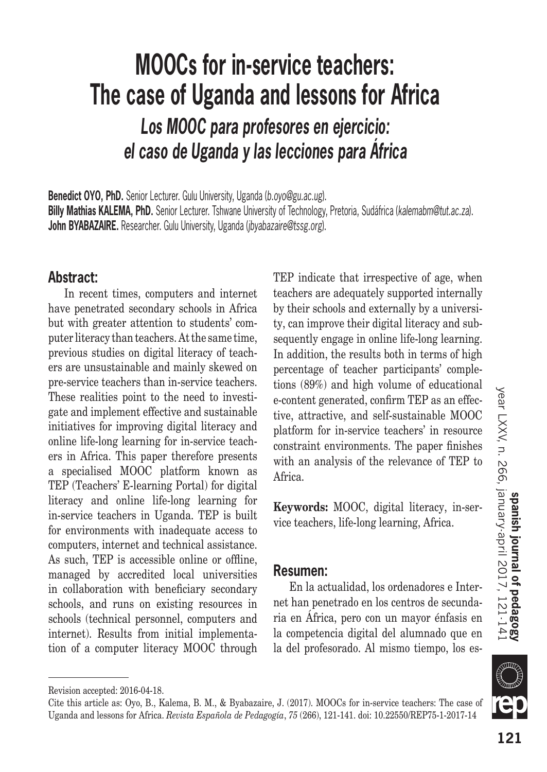# 121

*Los MOOC para profesores en ejercicio: el caso de Uganda y las lecciones para África*

**Benedict OYO, PhD.** Senior Lecturer. Gulu University, Uganda (*b.oyo@gu.ac.ug*). **Billy Mathias KALEMA, PhD.** Senior Lecturer. Tshwane University of Technology, Pretoria, Sudáfrica (*kalemabm@tut.ac.za*). **John BYABAZAIRE.** Researcher. Gulu University, Uganda (*jbyabazaire@tssg.org*).

## **Abstract:**

In recent times, computers and internet have penetrated secondary schools in Africa but with greater attention to students' computer literacy than teachers. At the same time, previous studies on digital literacy of teachers are unsustainable and mainly skewed on pre-service teachers than in-service teachers. These realities point to the need to investigate and implement effective and sustainable initiatives for improving digital literacy and online life-long learning for in-service teachers in Africa. This paper therefore presents a specialised MOOC platform known as TEP (Teachers' E-learning Portal) for digital literacy and online life-long learning for in-service teachers in Uganda. TEP is built for environments with inadequate access to computers, internet and technical assistance. As such, TEP is accessible online or offline, managed by accredited local universities in collaboration with beneficiary secondary schools, and runs on existing resources in schools (technical personnel, computers and internet). Results from initial implementation of a computer literacy MOOC through TEP indicate that irrespective of age, when teachers are adequately supported internally by their schools and externally by a university, can improve their digital literacy and subsequently engage in online life-long learning. In addition, the results both in terms of high percentage of teacher participants' completions (89%) and high volume of educational e-content generated, confirm TEP as an effective, attractive, and self-sustainable MOOC platform for in-service teachers' in resource constraint environments. The paper finishes with an analysis of the relevance of TEP to Africa.

**Keywords:** MOOC, digital literacy, in-service teachers, life-long learning, Africa.

## **Resumen:**

En la actualidad, los ordenadores e Internet han penetrado en los centros de secundaria en África, pero con un mayor énfasis en la competencia digital del alumnado que en la del profesorado. Al mismo tiempo, los es**year LXXV, n. 266, january-april 2017, 121-141**<br>year LXXV, n. 266, january-april 2017, 121-141

Revision accepted: 2016-04-18.

Cite this article as: Oyo, B., Kalema, B. M., & Byabazaire, J. (2017). MOOCs for in-service teachers: The case of Uganda and lessons for Africa. *Revista Española de Pedagogía*, *75* (266), 121-141. doi: 10.22550/REP75-1-2017-14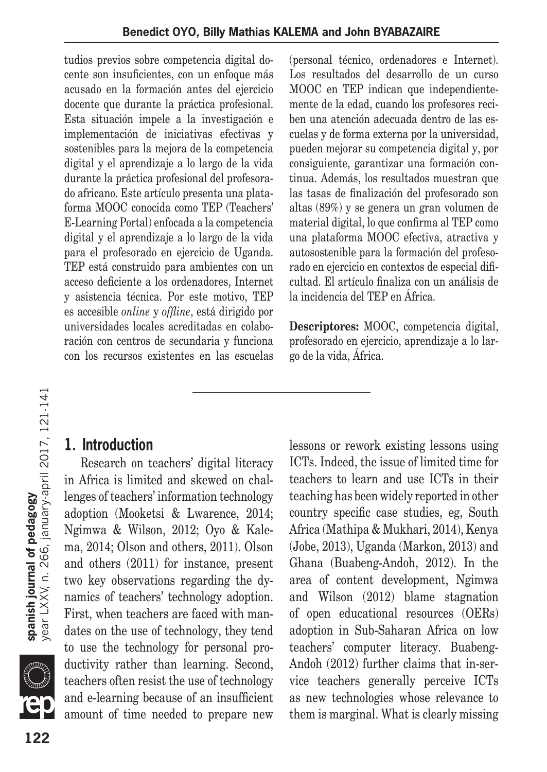tudios previos sobre competencia digital docente son insuficientes, con un enfoque más acusado en la formación antes del ejercicio docente que durante la práctica profesional. Esta situación impele a la investigación e implementación de iniciativas efectivas y sostenibles para la mejora de la competencia digital y el aprendizaje a lo largo de la vida durante la práctica profesional del profesorado africano. Este artículo presenta una plataforma MOOC conocida como TEP (Teachers' E-Learning Portal) enfocada a la competencia digital y el aprendizaje a lo largo de la vida para el profesorado en ejercicio de Uganda. TEP está construido para ambientes con un acceso deficiente a los ordenadores, Internet y asistencia técnica. Por este motivo, TEP es accesible *online* y *offline*, está dirigido por universidades locales acreditadas en colaboración con centros de secundaria y funciona con los recursos existentes en las escuelas (personal técnico, ordenadores e Internet). Los resultados del desarrollo de un curso MOOC en TEP indican que independientemente de la edad, cuando los profesores reciben una atención adecuada dentro de las escuelas y de forma externa por la universidad, pueden mejorar su competencia digital y, por consiguiente, garantizar una formación continua. Además, los resultados muestran que las tasas de finalización del profesorado son altas (89%) y se genera un gran volumen de material digital, lo que confirma al TEP como una plataforma MOOC efectiva, atractiva y autosostenible para la formación del profesorado en ejercicio en contextos de especial dificultad. El artículo finaliza con un análisis de la incidencia del TEP en África.

**Descriptores:** MOOC, competencia digital, profesorado en ejercicio, aprendizaje a lo largo de la vida, África.

#### **1. Introduction**

Research on teachers' digital literacy in Africa is limited and skewed on challenges of teachers' information technology adoption (Mooketsi & Lwarence, 2014; Ngimwa & Wilson, 2012; Oyo & Kalema, 2014; Olson and others, 2011). Olson and others (2011) for instance, present two key observations regarding the dynamics of teachers' technology adoption. First, when teachers are faced with mandates on the use of technology, they tend to use the technology for personal productivity rather than learning. Second, teachers often resist the use of technology and e-learning because of an insufficient amount of time needed to prepare new lessons or rework existing lessons using ICTs. Indeed, the issue of limited time for teachers to learn and use ICTs in their teaching has been widely reported in other country specific case studies, eg, South Africa (Mathipa & Mukhari, 2014), Kenya (Jobe, 2013), Uganda (Markon, 2013) and Ghana (Buabeng-Andoh, 2012). In the area of content development, Ngimwa and Wilson (2012) blame stagnation of open educational resources (OERs) adoption in Sub-Saharan Africa on low teachers' computer literacy. Buabeng-Andoh (2012) further claims that in-service teachers generally perceive ICTs as new technologies whose relevance to them is marginal. What is clearly missing

 $\mathbb{P}^{\mathbb{Z}}$ 

spanish journal of pedagogy<br>year LXXV, n. 266, january-april 2017, 121-141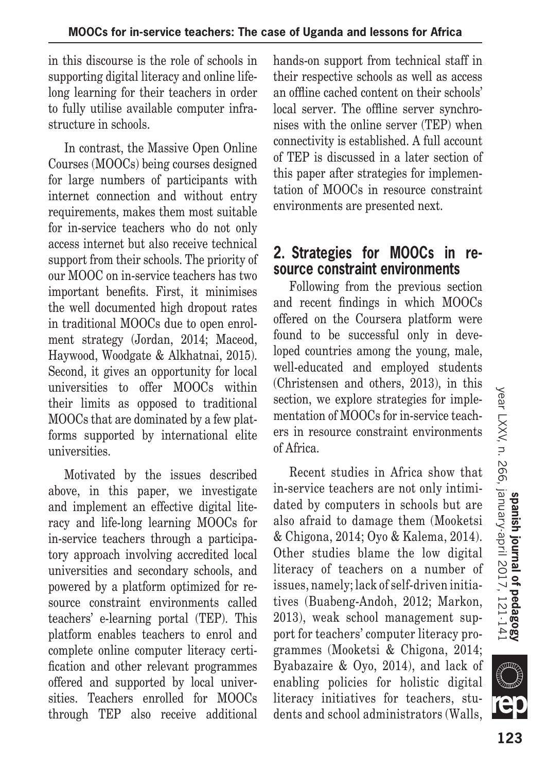in this discourse is the role of schools in supporting digital literacy and online lifelong learning for their teachers in order to fully utilise available computer infrastructure in schools.

In contrast, the Massive Open Online Courses (MOOCs) being courses designed for large numbers of participants with internet connection and without entry requirements, makes them most suitable for in-service teachers who do not only access internet but also receive technical support from their schools. The priority of our MOOC on in-service teachers has two important benefits. First, it minimises the well documented high dropout rates in traditional MOOCs due to open enrolment strategy (Jordan, 2014; Maceod, Haywood, Woodgate & Alkhatnai, 2015). Second, it gives an opportunity for local universities to offer MOOCs within their limits as opposed to traditional MOOCs that are dominated by a few platforms supported by international elite universities.

Motivated by the issues described above, in this paper, we investigate and implement an effective digital literacy and life-long learning MOOCs for in-service teachers through a participatory approach involving accredited local universities and secondary schools, and powered by a platform optimized for resource constraint environments called teachers' e-learning portal (TEP). This platform enables teachers to enrol and complete online computer literacy certification and other relevant programmes offered and supported by local universities. Teachers enrolled for MOOCs through TEP also receive additional hands-on support from technical staff in their respective schools as well as access an offline cached content on their schools' local server. The offline server synchronises with the online server (TEP) when connectivity is established. A full account of TEP is discussed in a later section of this paper after strategies for implementation of MOOCs in resource constraint environments are presented next.

## **2. Strategies for MOOCs in resource constraint environments**

Following from the previous section and recent findings in which MOOCs offered on the Coursera platform were found to be successful only in developed countries among the young, male, well-educated and employed students (Christensen and others, 2013), in this section, we explore strategies for implementation of MOOCs for in-service teachers in resource constraint environments of Africa.

Recent studies in Africa show that in-service teachers are not only intimidated by computers in schools but are also afraid to damage them (Mooketsi & Chigona, 2014; Oyo & Kalema, 2014). Other studies blame the low digital literacy of teachers on a number of issues, namely; lack of self-driven initiatives (Buabeng-Andoh, 2012; Markon, 2013), weak school management support for teachers' computer literacy programmes (Mooketsi & Chigona, 2014; Byabazaire & Oyo, 2014), and lack of enabling policies for holistic digital literacy initiatives for teachers, students and school administrators (Walls,



**SILLE**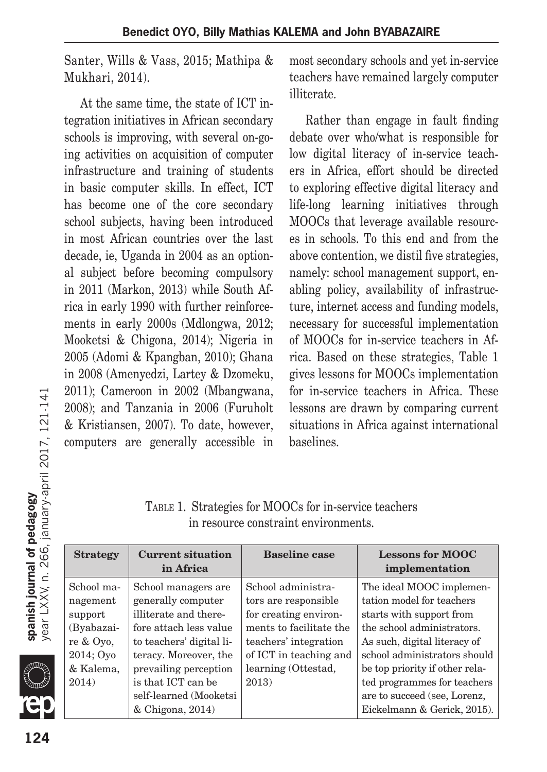Santer, Wills & Vass, 2015; Mathipa & Mukhari, 2014).

At the same time, the state of ICT integration initiatives in African secondary schools is improving, with several on-going activities on acquisition of computer infrastructure and training of students in basic computer skills. In effect, ICT has become one of the core secondary school subjects, having been introduced in most African countries over the last decade, ie, Uganda in 2004 as an optional subject before becoming compulsory in 2011 (Markon, 2013) while South Africa in early 1990 with further reinforcements in early 2000s (Mdlongwa, 2012; Mooketsi & Chigona, 2014); Nigeria in 2005 (Adomi & Kpangban, 2010); Ghana in 2008 (Amenyedzi, Lartey & Dzomeku, 2011); Cameroon in 2002 (Mbangwana, 2008); and Tanzania in 2006 (Furuholt & Kristiansen, 2007). To date, however, computers are generally accessible in most secondary schools and yet in-service teachers have remained largely computer illiterate.

Rather than engage in fault finding debate over who/what is responsible for low digital literacy of in-service teachers in Africa, effort should be directed to exploring effective digital literacy and life-long learning initiatives through MOOCs that leverage available resources in schools. To this end and from the above contention, we distil five strategies, namely: school management support, enabling policy, availability of infrastructure, internet access and funding models, necessary for successful implementation of MOOCs for in-service teachers in Africa. Based on these strategies, Table 1 gives lessons for MOOCs implementation for in-service teachers in Africa. These lessons are drawn by comparing current situations in Africa against international baselines.

Table 1. Strategies for MOOCs for in-service teachers in resource constraint environments.

| <b>Strategy</b> | <b>Current situation</b><br>in Africa | <b>Baseline case</b>    | <b>Lessons for MOOC</b><br>implementation |
|-----------------|---------------------------------------|-------------------------|-------------------------------------------|
| School ma-      | School managers are                   | School administra-      | The ideal MOOC implemen-                  |
| nagement        | generally computer                    | tors are responsible    | tation model for teachers                 |
| support         | illiterate and there-                 | for creating environ-   | starts with support from                  |
| (Byabazai-      | fore attach less value                | ments to facilitate the | the school administrators.                |
| re & Oyo,       | to teachers' digital li-              | teachers' integration   | As such, digital literacy of              |
| 2014; Oyo       | teracy. Moreover, the                 | of ICT in teaching and  | school administrators should              |
| & Kalema,       | prevailing perception                 | learning (Ottestad,     | be top priority if other rela-            |
| 2014)           | is that ICT can be                    | 2013)                   | ted programmes for teachers               |
|                 | self-learned (Mooketsi                |                         | are to succeed (see, Lorenz,              |
|                 | $&$ Chigona, 2014)                    |                         | Eickelmann & Gerick, 2015).               |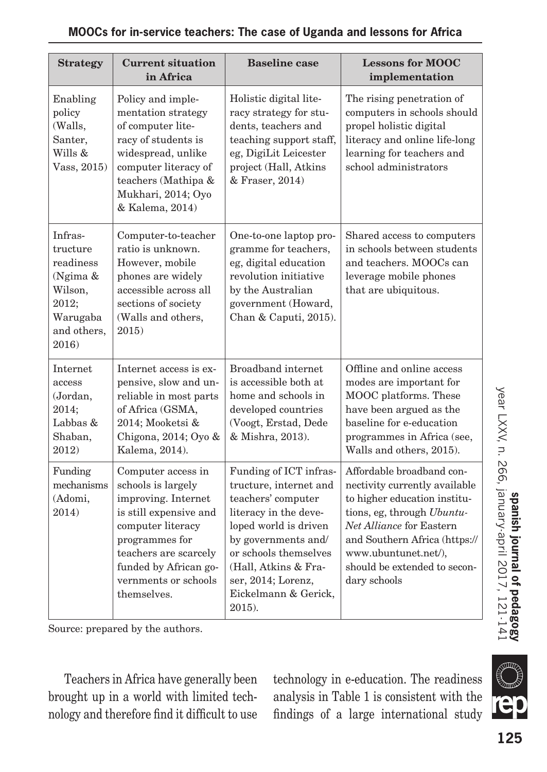| <b>Strategy</b>                                                                                     | <b>Current situation</b><br>in Africa                                                                                                                                                                                     | <b>Baseline</b> case                                                                                                                                                                                                                                     | <b>Lessons for MOOC</b><br>implementation                                                                                                                                                                                                                     |
|-----------------------------------------------------------------------------------------------------|---------------------------------------------------------------------------------------------------------------------------------------------------------------------------------------------------------------------------|----------------------------------------------------------------------------------------------------------------------------------------------------------------------------------------------------------------------------------------------------------|---------------------------------------------------------------------------------------------------------------------------------------------------------------------------------------------------------------------------------------------------------------|
| Enabling<br>policy<br>(Walls,<br>Santer,<br>Wills &<br>Vass, 2015)                                  | Policy and imple-<br>mentation strategy<br>of computer lite-<br>racy of students is<br>widespread, unlike<br>computer literacy of<br>teachers (Mathipa &<br>Mukhari, 2014; Oyo<br>& Kalema, 2014)                         | Holistic digital lite-<br>racy strategy for stu-<br>dents, teachers and<br>teaching support staff,<br>eg, DigiLit Leicester<br>project (Hall, Atkins<br>& Fraser, 2014)                                                                                  | The rising penetration of<br>computers in schools should<br>propel holistic digital<br>literacy and online life-long<br>learning for teachers and<br>school administrators                                                                                    |
| Infras-<br>tructure<br>readiness<br>(Ngima &<br>Wilson,<br>2012;<br>Warugaba<br>and others,<br>2016 | Computer-to-teacher<br>ratio is unknown.<br>However, mobile<br>phones are widely<br>accessible across all<br>sections of society<br>(Walls and others,<br>2015                                                            | One-to-one laptop pro-<br>gramme for teachers,<br>eg, digital education<br>revolution initiative<br>by the Australian<br>government (Howard,<br>Chan & Caputi, 2015).                                                                                    | Shared access to computers<br>in schools between students<br>and teachers. MOOCs can<br>leverage mobile phones<br>that are ubiquitous.                                                                                                                        |
| Internet<br>access<br>(Jordan,<br>2014;<br>Labbas $&$<br>Shaban,<br>2012)                           | Internet access is ex-<br>pensive, slow and un-<br>reliable in most parts<br>of Africa (GSMA,<br>2014; Mooketsi &<br>Chigona, 2014; Oyo &<br>Kalema, 2014).                                                               | <b>Broadband</b> internet<br>is accessible both at<br>home and schools in<br>developed countries<br>(Voogt, Erstad, Dede<br>& Mishra, 2013).                                                                                                             | Offline and online access<br>modes are important for<br>MOOC platforms. These<br>have been argued as the<br>baseline for e-education<br>programmes in Africa (see,<br>Walls and others, 2015).                                                                |
| Funding<br>mechanisms<br>(Adomi,<br>2014)                                                           | Computer access in<br>schools is largely<br>improving. Internet<br>is still expensive and<br>computer literacy<br>programmes for<br>teachers are scarcely<br>funded by African go-<br>vernments or schools<br>themselves. | Funding of ICT infras-<br>tructure, internet and<br>teachers' computer<br>literacy in the deve-<br>loped world is driven<br>by governments and/<br>or schools themselves<br>(Hall, Atkins & Fra-<br>ser, 2014; Lorenz,<br>Eickelmann & Gerick,<br>2015). | Affordable broadband con-<br>nectivity currently available<br>to higher education institu-<br>tions, eg, through Ubuntu-<br>Net Alliance for Eastern<br>and Southern Africa (https://<br>www.ubuntunet.net/),<br>should be extended to secon-<br>dary schools |

Source: prepared by the authors.

Teachers in Africa have generally been brought up in a world with limited technology and therefore find it difficult to use technology in e-education. The readiness analysis in Table 1 is consistent with the findings of a large international study

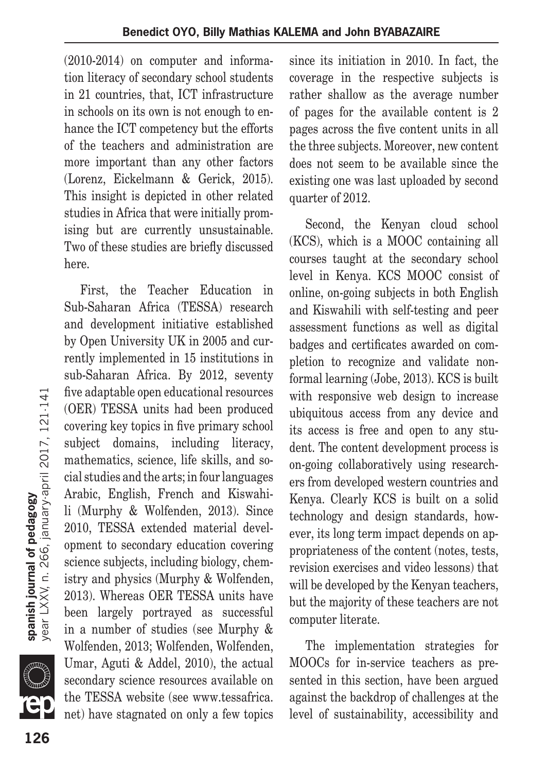(2010-2014) on computer and information literacy of secondary school students in 21 countries, that, ICT infrastructure in schools on its own is not enough to enhance the ICT competency but the efforts of the teachers and administration are more important than any other factors (Lorenz, Eickelmann & Gerick, 2015). This insight is depicted in other related studies in Africa that were initially promising but are currently unsustainable. Two of these studies are briefly discussed here.

First, the Teacher Education in Sub-Saharan Africa (TESSA) research and development initiative established by Open University UK in 2005 and currently implemented in 15 institutions in sub-Saharan Africa. By 2012, seventy five adaptable open educational resources (OER) TESSA units had been produced covering key topics in five primary school subject domains, including literacy, mathematics, science, life skills, and social studies and the arts; in four languages Arabic, English, French and Kiswahili (Murphy & Wolfenden, 2013). Since 2010, TESSA extended material development to secondary education covering science subjects, including biology, chemistry and physics (Murphy & Wolfenden, 2013). Whereas OER TESSA units have been largely portrayed as successful in a number of studies (see Murphy & Wolfenden, 2013; Wolfenden, Wolfenden, Umar, Aguti & Addel, 2010), the actual secondary science resources available on the TESSA website (see www.tessafrica. net) have stagnated on only a few topics since its initiation in 2010. In fact, the coverage in the respective subjects is rather shallow as the average number of pages for the available content is 2 pages across the five content units in all the three subjects. Moreover, new content does not seem to be available since the existing one was last uploaded by second quarter of 2012.

Second, the Kenyan cloud school (KCS), which is a MOOC containing all courses taught at the secondary school level in Kenya. KCS MOOC consist of online, on-going subjects in both English and Kiswahili with self-testing and peer assessment functions as well as digital badges and certificates awarded on completion to recognize and validate nonformal learning (Jobe, 2013). KCS is built with responsive web design to increase ubiquitous access from any device and its access is free and open to any student. The content development process is on-going collaboratively using researchers from developed western countries and Kenya. Clearly KCS is built on a solid technology and design standards, however, its long term impact depends on appropriateness of the content (notes, tests, revision exercises and video lessons) that will be developed by the Kenyan teachers, but the majority of these teachers are not computer literate.

The implementation strategies for MOOCs for in-service teachers as presented in this section, have been argued against the backdrop of challenges at the level of sustainability, accessibility and

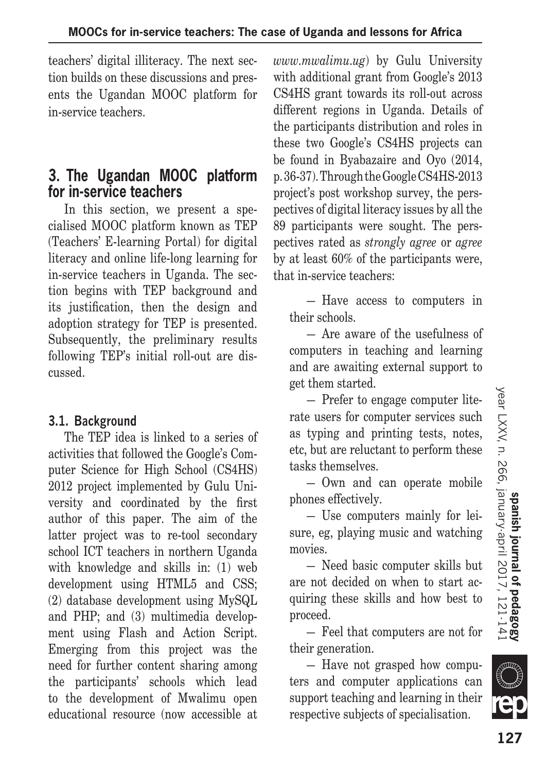teachers' digital illiteracy. The next section builds on these discussions and presents the Ugandan MOOC platform for in-service teachers.

#### **3. The Ugandan MOOC platform for in-service teachers**

In this section, we present a specialised MOOC platform known as TEP (Teachers' E-learning Portal) for digital literacy and online life-long learning for in-service teachers in Uganda. The section begins with TEP background and its justification, then the design and adoption strategy for TEP is presented. Subsequently, the preliminary results following TEP's initial roll-out are discussed.

#### **3.1. Background**

The TEP idea is linked to a series of activities that followed the Google's Computer Science for High School (CS4HS) 2012 project implemented by Gulu University and coordinated by the first author of this paper. The aim of the latter project was to re-tool secondary school ICT teachers in northern Uganda with knowledge and skills in: (1) web development using HTML5 and CSS; (2) database development using MySQL and PHP; and (3) multimedia development using Flash and Action Script. Emerging from this project was the need for further content sharing among the participants' schools which lead to the development of Mwalimu open educational resource (now accessible at *www.mwalimu.ug*) by Gulu University with additional grant from Google's 2013 CS4HS grant towards its roll-out across different regions in Uganda. Details of the participants distribution and roles in these two Google's CS4HS projects can be found in Byabazaire and Oyo (2014, p. 36-37). Through the Google CS4HS-2013 project's post workshop survey, the perspectives of digital literacy issues by all the 89 participants were sought. The perspectives rated as *strongly agree* or *agree* by at least 60% of the participants were, that in-service teachers:

— Have access to computers in their schools.

— Are aware of the usefulness of computers in teaching and learning and are awaiting external support to get them started.

— Prefer to engage computer literate users for computer services such as typing and printing tests, notes, etc, but are reluctant to perform these tasks themselves.

— Own and can operate mobile phones effectively.

— Use computers mainly for leisure, eg, playing music and watching movies.

— Need basic computer skills but are not decided on when to start acquiring these skills and how best to proceed.

— Feel that computers are not for their generation.

— Have not grasped how computers and computer applications can support teaching and learning in their respective subjects of specialisation.

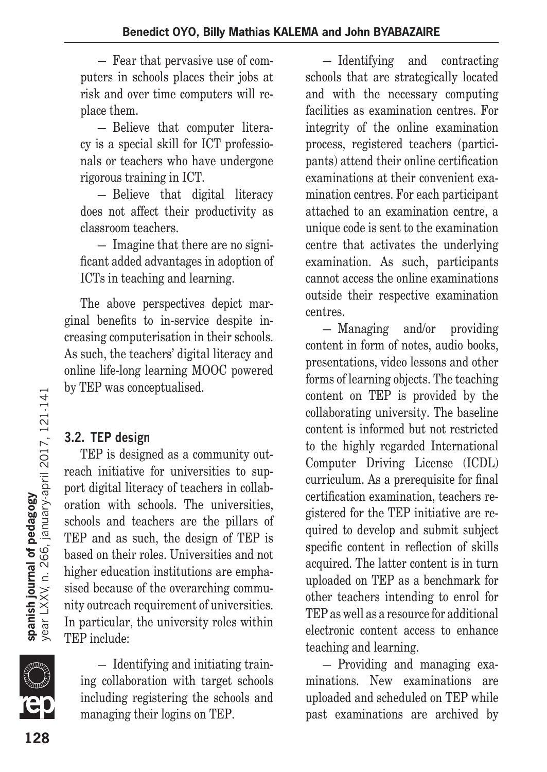— Fear that pervasive use of computers in schools places their jobs at risk and over time computers will replace them.

— Believe that computer literacy is a special skill for ICT professionals or teachers who have undergone rigorous training in ICT.

— Believe that digital literacy does not affect their productivity as classroom teachers.

— Imagine that there are no significant added advantages in adoption of ICTs in teaching and learning.

The above perspectives depict marginal benefits to in-service despite increasing computerisation in their schools. As such, the teachers' digital literacy and online life-long learning MOOC powered by TEP was conceptualised.

## **3.2. TEP design**

TEP is designed as a community outreach initiative for universities to support digital literacy of teachers in collaboration with schools. The universities, schools and teachers are the pillars of TEP and as such, the design of TEP is based on their roles. Universities and not higher education institutions are emphasised because of the overarching community outreach requirement of universities. In particular, the university roles within TEP include:

year LXXV, n. 266, january-april 2017, 121-141

spanish journal of pedagogy

— Identifying and initiating training collaboration with target schools including registering the schools and managing their logins on TEP.

— Identifying and contracting schools that are strategically located and with the necessary computing facilities as examination centres. For integrity of the online examination process, registered teachers (participants) attend their online certification examinations at their convenient examination centres. For each participant attached to an examination centre, a unique code is sent to the examination centre that activates the underlying examination. As such, participants cannot access the online examinations outside their respective examination centres.

— Managing and/or providing content in form of notes, audio books, presentations, video lessons and other forms of learning objects. The teaching content on TEP is provided by the collaborating university. The baseline content is informed but not restricted to the highly regarded International Computer Driving License (ICDL) curriculum. As a prerequisite for final certification examination, teachers registered for the TEP initiative are required to develop and submit subject specific content in reflection of skills acquired. The latter content is in turn uploaded on TEP as a benchmark for other teachers intending to enrol for TEP as well as a resource for additional electronic content access to enhance teaching and learning.

— Providing and managing examinations. New examinations are uploaded and scheduled on TEP while past examinations are archived by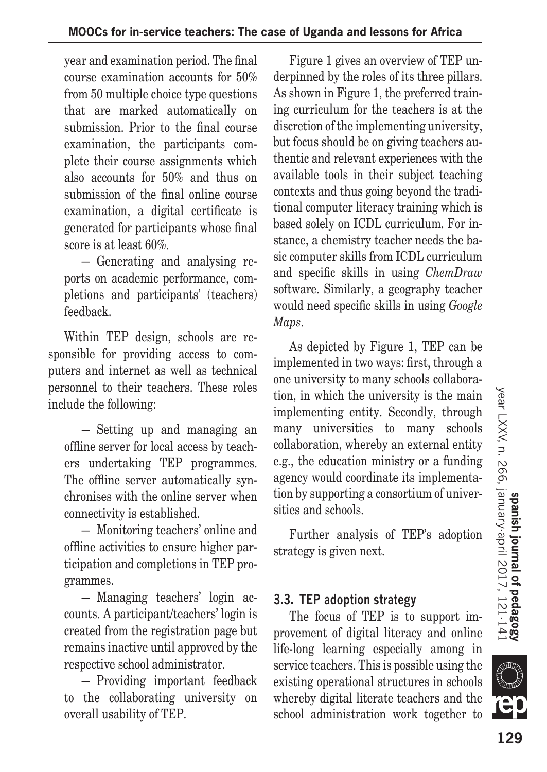year and examination period. The final course examination accounts for 50% from 50 multiple choice type questions that are marked automatically on submission. Prior to the final course examination, the participants complete their course assignments which also accounts for 50% and thus on submission of the final online course examination, a digital certificate is generated for participants whose final score is at least 60%.

— Generating and analysing reports on academic performance, completions and participants' (teachers) feedback.

Within TEP design, schools are responsible for providing access to computers and internet as well as technical personnel to their teachers. These roles include the following:

— Setting up and managing an offline server for local access by teachers undertaking TEP programmes. The offline server automatically synchronises with the online server when connectivity is established.

— Monitoring teachers' online and offline activities to ensure higher participation and completions in TEP programmes.

— Managing teachers' login accounts. A participant/teachers' login is created from the registration page but remains inactive until approved by the respective school administrator.

— Providing important feedback to the collaborating university on overall usability of TEP.

Figure 1 gives an overview of TEP underpinned by the roles of its three pillars. As shown in Figure 1, the preferred training curriculum for the teachers is at the discretion of the implementing university, but focus should be on giving teachers authentic and relevant experiences with the available tools in their subject teaching contexts and thus going beyond the traditional computer literacy training which is based solely on ICDL curriculum. For instance, a chemistry teacher needs the basic computer skills from ICDL curriculum and specific skills in using *ChemDraw*  software. Similarly, a geography teacher would need specific skills in using *Google Maps*.

As depicted by Figure 1, TEP can be implemented in two ways: first, through a one university to many schools collaboration, in which the university is the main implementing entity. Secondly, through many universities to many schools collaboration, whereby an external entity e.g., the education ministry or a funding agency would coordinate its implementation by supporting a consortium of universities and schools.

Further analysis of TEP's adoption strategy is given next.

#### **3.3. TEP adoption strategy**

The focus of TEP is to support improvement of digital literacy and online life-long learning especially among in service teachers. This is possible using the existing operational structures in schools whereby digital literate teachers and the school administration work together to

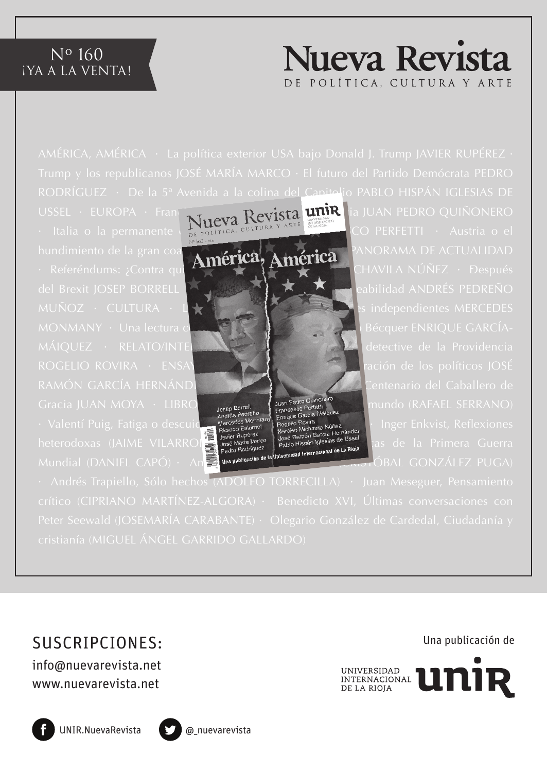#### Nº 160 **iya a la venta!**



RODRÍGUEZ · De la 5ª Avenida a la colina del Capitolio PABLO HISPÁN IGLESIAS DE



USSEL · EUROPA · Francia VIIIeva Revista unir ia JUAN PEDRO QUIÑONERO

· Andrés Trapiello, Sólo hechos (ADOLFO TORRECILLA) · Juan Meseguer, Pensamiento

# SUSCRIPCIONES:

info@nuevarevista.net www.nuevarevista.net

Una publicación de







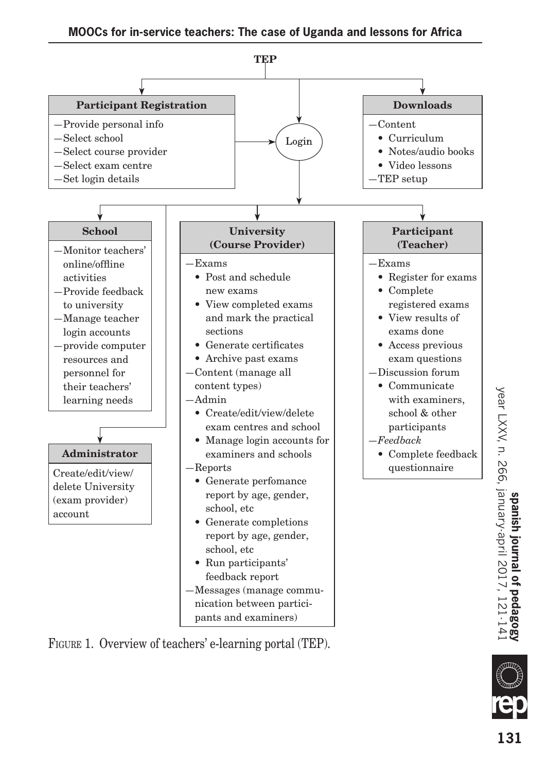

Figure 1. Overview of teachers' e-learning portal (TEP).

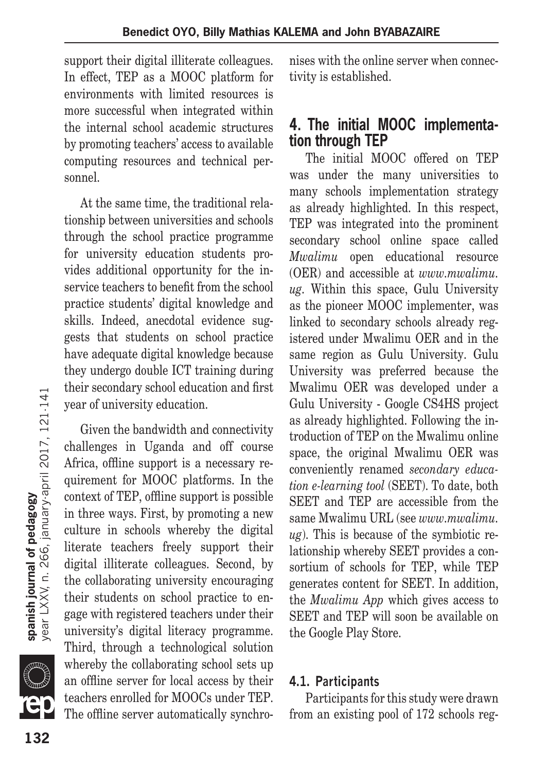support their digital illiterate colleagues. In effect, TEP as a MOOC platform for environments with limited resources is more successful when integrated within the internal school academic structures by promoting teachers' access to available computing resources and technical personnel.

At the same time, the traditional relationship between universities and schools through the school practice programme for university education students provides additional opportunity for the inservice teachers to benefit from the school practice students' digital knowledge and skills. Indeed, anecdotal evidence suggests that students on school practice have adequate digital knowledge because they undergo double ICT training during their secondary school education and first year of university education.

Given the bandwidth and connectivity challenges in Uganda and off course Africa, offline support is a necessary requirement for MOOC platforms. In the context of TEP, offline support is possible in three ways. First, by promoting a new culture in schools whereby the digital literate teachers freely support their digital illiterate colleagues. Second, by the collaborating university encouraging their students on school practice to engage with registered teachers under their university's digital literacy programme. Third, through a technological solution whereby the collaborating school sets up an offline server for local access by their teachers enrolled for MOOCs under TEP. The offline server automatically synchronises with the online server when connectivity is established.

## **4. The initial MOOC implementation through TEP**

The initial MOOC offered on TEP was under the many universities to many schools implementation strategy as already highlighted. In this respect, TEP was integrated into the prominent secondary school online space called *Mwalimu* open educational resource (OER) and accessible at *www.mwalimu. ug.* Within this space, Gulu University as the pioneer MOOC implementer, was linked to secondary schools already registered under Mwalimu OER and in the same region as Gulu University. Gulu University was preferred because the Mwalimu OER was developed under a Gulu University - Google CS4HS project as already highlighted. Following the introduction of TEP on the Mwalimu online space, the original Mwalimu OER was conveniently renamed *secondary education e-learning tool* (SEET). To date, both SEET and TEP are accessible from the same Mwalimu URL (see *www.mwalimu. ug*). This is because of the symbiotic relationship whereby SEET provides a consortium of schools for TEP, while TEP generates content for SEET. In addition, the *Mwalimu App* which gives access to SEET and TEP will soon be available on the Google Play Store.

#### **4.1. Participants**

Participants for this study were drawn from an existing pool of 172 schools reg-

e<br>Suid-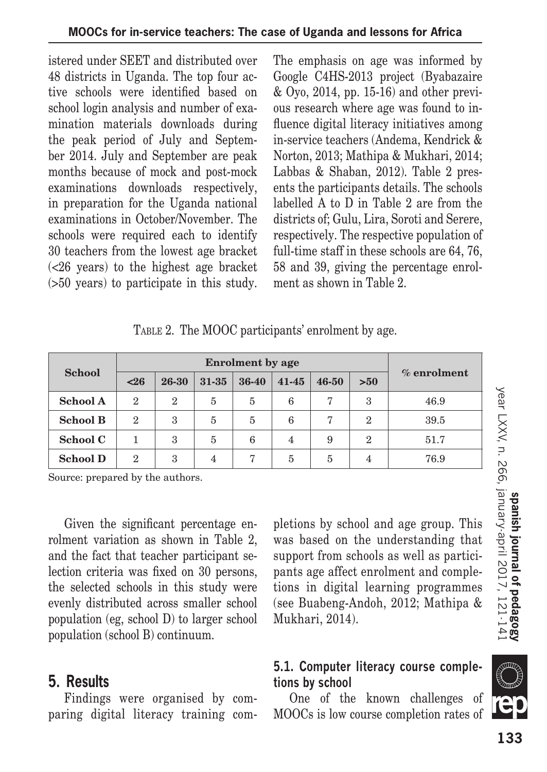istered under SEET and distributed over 48 districts in Uganda. The top four active schools were identified based on school login analysis and number of examination materials downloads during the peak period of July and September 2014. July and September are peak months because of mock and post-mock examinations downloads respectively, in preparation for the Uganda national examinations in October/November. The schools were required each to identify 30 teachers from the lowest age bracket (<26 years) to the highest age bracket (>50 years) to participate in this study. The emphasis on age was informed by Google C4HS-2013 project (Byabazaire & Oyo, 2014, pp. 15-16) and other previous research where age was found to influence digital literacy initiatives among in-service teachers (Andema, Kendrick & Norton, 2013; Mathipa & Mukhari, 2014; Labbas & Shaban, 2012). Table 2 presents the participants details. The schools labelled A to D in Table 2 are from the districts of; Gulu, Lira, Soroti and Serere, respectively. The respective population of full-time staff in these schools are 64, 76, 58 and 39, giving the percentage enrolment as shown in Table 2.

#### TABLE 2. The MOOC participants' enrolment by age.

|                 | <b>Enrolment</b> by age |              |                |                |           |       |                |                |
|-----------------|-------------------------|--------------|----------------|----------------|-----------|-------|----------------|----------------|
| <b>School</b>   | $26$                    | 26-30        | 31-35          | 36-40          | $41 - 45$ | 46-50 | >50            | $\%$ enrolment |
| <b>School A</b> | $\overline{2}$          | $\mathbf{2}$ | 5              | 5              | 6         |       | 3              | 46.9           |
| <b>School B</b> | $\mathbf{2}$            | 3            | 5              | 5              | 6         | 7     | $\overline{2}$ | 39.5           |
| School C        |                         | 3            | 5              | 6              | 4         | 9     | $\overline{2}$ | 51.7           |
| <b>School D</b> | 2                       | 3            | $\overline{4}$ | $\overline{7}$ | 5         | 5     | 4              | 76.9           |

Source: prepared by the authors.

Given the significant percentage enrolment variation as shown in Table 2, and the fact that teacher participant selection criteria was fixed on 30 persons, the selected schools in this study were evenly distributed across smaller school population (eg, school D) to larger school population (school B) continuum.

#### **5. Results**

Findings were organised by comparing digital literacy training completions by school and age group. This was based on the understanding that support from schools as well as participants age affect enrolment and completions in digital learning programmes (see Buabeng-Andoh, 2012; Mathipa & Mukhari, 2014).

#### **5.1. Computer literacy course completions by school**

One of the known challenges of MOOCs is low course completion rates of

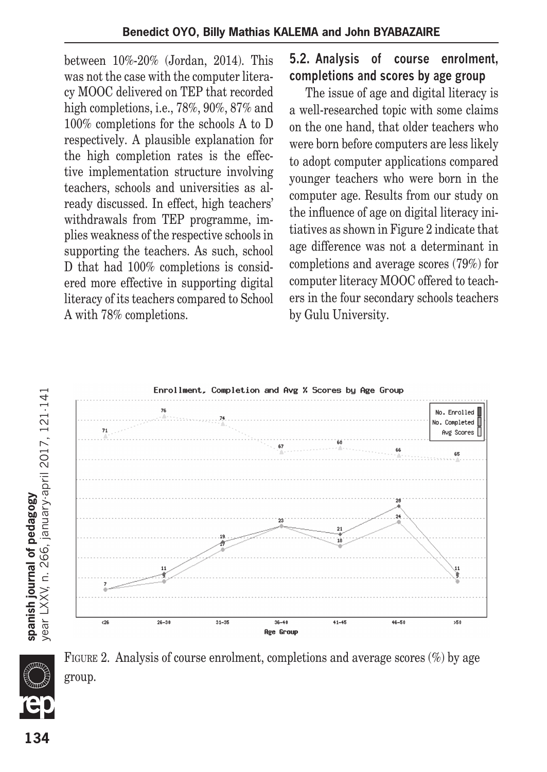between 10%-20% (Jordan, 2014). This was not the case with the computer literacy MOOC delivered on TEP that recorded high completions, i.e., 78%, 90%, 87% and 100% completions for the schools A to D respectively. A plausible explanation for the high completion rates is the effective implementation structure involving teachers, schools and universities as already discussed. In effect, high teachers' withdrawals from TEP programme, implies weakness of the respective schools in supporting the teachers. As such, school D that had 100% completions is considered more effective in supporting digital literacy of its teachers compared to School A with 78% completions.

#### **5.2. Analysis of course enrolment, completions and scores by age group**

The issue of age and digital literacy is a well-researched topic with some claims on the one hand, that older teachers who were born before computers are less likely to adopt computer applications compared younger teachers who were born in the computer age. Results from our study on the influence of age on digital literacy initiatives as shown in Figure 2 indicate that age difference was not a determinant in completions and average scores (79%) for computer literacy MOOC offered to teachers in the four secondary schools teachers by Gulu University.



FIGURE 2. Analysis of course enrolment, completions and average scores  $(\%)$  by age group.

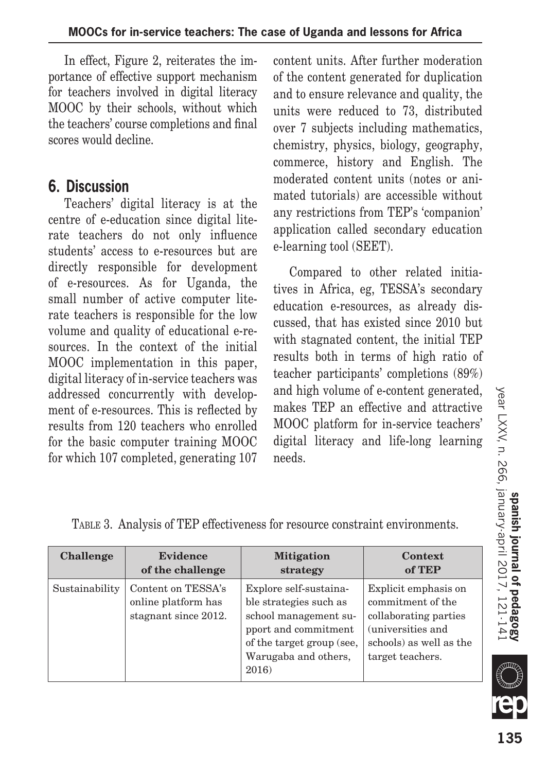In effect, Figure 2, reiterates the importance of effective support mechanism for teachers involved in digital literacy MOOC by their schools, without which the teachers' course completions and final scores would decline.

## **6. Discussion**

Teachers' digital literacy is at the centre of e-education since digital literate teachers do not only influence students' access to e-resources but are directly responsible for development of e-resources. As for Uganda, the small number of active computer literate teachers is responsible for the low volume and quality of educational e-resources. In the context of the initial MOOC implementation in this paper, digital literacy of in-service teachers was addressed concurrently with development of e-resources. This is reflected by results from 120 teachers who enrolled for the basic computer training MOOC for which 107 completed, generating 107 content units. After further moderation of the content generated for duplication and to ensure relevance and quality, the units were reduced to 73, distributed over 7 subjects including mathematics, chemistry, physics, biology, geography, commerce, history and English. The moderated content units (notes or animated tutorials) are accessible without any restrictions from TEP's 'companion' application called secondary education e-learning tool (SEET).

Compared to other related initiatives in Africa, eg, TESSA's secondary education e-resources, as already discussed, that has existed since 2010 but with stagnated content, the initial TEP results both in terms of high ratio of teacher participants' completions (89%) and high volume of e-content generated, makes TEP an effective and attractive MOOC platform for in-service teachers' digital literacy and life-long learning needs.

| Challenge      | <b>Evidence</b>                                                   | <b>Mitigation</b>                                                                                                                                               | <b>Context</b>                                                                                                                         |
|----------------|-------------------------------------------------------------------|-----------------------------------------------------------------------------------------------------------------------------------------------------------------|----------------------------------------------------------------------------------------------------------------------------------------|
|                | of the challenge                                                  | strategy                                                                                                                                                        | of TEP                                                                                                                                 |
| Sustainability | Content on TESSA's<br>online platform has<br>stagnant since 2012. | Explore self-sustaina-<br>ble strategies such as<br>school management su-<br>pport and commitment<br>of the target group (see,<br>Warugaba and others,<br>2016) | Explicit emphasis on<br>commitment of the<br>collaborating parties<br>(universities and<br>schools) as well as the<br>target teachers. |

Table 3. Analysis of TEP effectiveness for resource constraint environments.

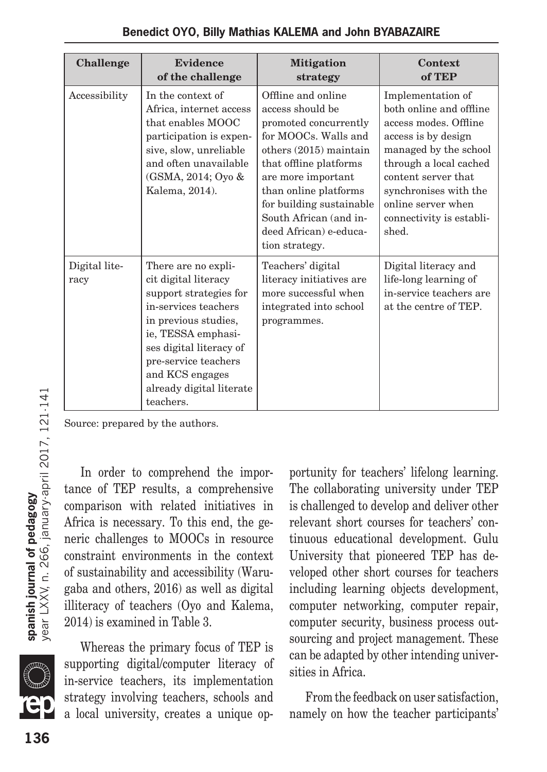| Challenge             | <b>Evidence</b><br>of the challenge                                                                                                                                                                                                                        | <b>Mitigation</b><br>strategy                                                                                                                                                                                                                                                                  | Context<br>of TEP                                                                                                                                                                                                                                          |
|-----------------------|------------------------------------------------------------------------------------------------------------------------------------------------------------------------------------------------------------------------------------------------------------|------------------------------------------------------------------------------------------------------------------------------------------------------------------------------------------------------------------------------------------------------------------------------------------------|------------------------------------------------------------------------------------------------------------------------------------------------------------------------------------------------------------------------------------------------------------|
| Accessibility         | In the context of<br>Africa, internet access<br>that enables MOOC<br>participation is expen-<br>sive, slow, unreliable<br>and often unavailable<br>(GSMA, 2014; Oyo &<br>Kalema, 2014).                                                                    | Offline and online<br>access should be<br>promoted concurrently<br>for MOOCs. Walls and<br>others $(2015)$ maintain<br>that offline platforms<br>are more important<br>than online platforms<br>for building sustainable<br>South African (and in-<br>deed African) e-educa-<br>tion strategy. | Implementation of<br>both online and offline<br>access modes. Offline<br>access is by design<br>managed by the school<br>through a local cached<br>content server that<br>synchronises with the<br>online server when<br>connectivity is establi-<br>shed. |
| Digital lite-<br>racy | There are no expli-<br>cit digital literacy<br>support strategies for<br>in-services teachers<br>in previous studies,<br>ie, TESSA emphasi-<br>ses digital literacy of<br>pre-service teachers<br>and KCS engages<br>already digital literate<br>teachers. | Teachers' digital<br>literacy initiatives are<br>more successful when<br>integrated into school<br>programmes.                                                                                                                                                                                 | Digital literacy and<br>life-long learning of<br>in-service teachers are<br>at the centre of TEP.                                                                                                                                                          |

Source: prepared by the authors.

In order to comprehend the importance of TEP results, a comprehensive comparison with related initiatives in Africa is necessary. To this end, the generic challenges to MOOCs in resource constraint environments in the context of sustainability and accessibility (Warugaba and others, 2016) as well as digital illiteracy of teachers (Oyo and Kalema, 2014) is examined in Table 3.

Whereas the primary focus of TEP is supporting digital/computer literacy of in-service teachers, its implementation strategy involving teachers, schools and a local university, creates a unique opportunity for teachers' lifelong learning. The collaborating university under TEP is challenged to develop and deliver other relevant short courses for teachers' continuous educational development. Gulu University that pioneered TEP has developed other short courses for teachers including learning objects development, computer networking, computer repair, computer security, business process outsourcing and project management. These can be adapted by other intending universities in Africa.

From the feedback on user satisfaction, namely on how the teacher participants'

**ym**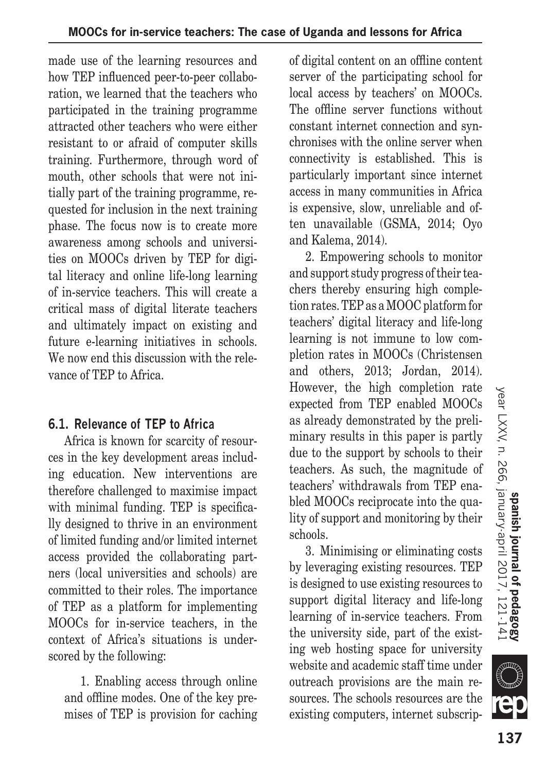made use of the learning resources and how TEP influenced peer-to-peer collaboration, we learned that the teachers who participated in the training programme attracted other teachers who were either resistant to or afraid of computer skills training. Furthermore, through word of mouth, other schools that were not initially part of the training programme, requested for inclusion in the next training phase. The focus now is to create more awareness among schools and universities on MOOCs driven by TEP for digital literacy and online life-long learning of in-service teachers. This will create a critical mass of digital literate teachers and ultimately impact on existing and future e-learning initiatives in schools. We now end this discussion with the relevance of TEP to Africa.

#### **6.1. Relevance of TEP to Africa**

Africa is known for scarcity of resources in the key development areas including education. New interventions are therefore challenged to maximise impact with minimal funding. TEP is specifically designed to thrive in an environment of limited funding and/or limited internet access provided the collaborating partners (local universities and schools) are committed to their roles. The importance of TEP as a platform for implementing MOOCs for in-service teachers, in the context of Africa's situations is underscored by the following:

1. Enabling access through online and offline modes. One of the key premises of TEP is provision for caching of digital content on an offline content server of the participating school for local access by teachers' on MOOCs. The offline server functions without constant internet connection and synchronises with the online server when connectivity is established. This is particularly important since internet access in many communities in Africa is expensive, slow, unreliable and often unavailable (GSMA, 2014; Oyo and Kalema, 2014).

2. Empowering schools to monitor and support study progress of their teachers thereby ensuring high completion rates. TEP as a MOOC platform for teachers' digital literacy and life-long learning is not immune to low completion rates in MOOCs (Christensen and others, 2013; Jordan, 2014). However, the high completion rate expected from TEP enabled MOOCs as already demonstrated by the preliminary results in this paper is partly due to the support by schools to their teachers. As such, the magnitude of teachers' withdrawals from TEP enabled MOOCs reciprocate into the quality of support and monitoring by their schools.

3. Minimising or eliminating costs by leveraging existing resources. TEP is designed to use existing resources to support digital literacy and life-long learning of in-service teachers. From the university side, part of the existing web hosting space for university website and academic staff time under outreach provisions are the main resources. The schools resources are the existing computers, internet subscrip-

**SILLE**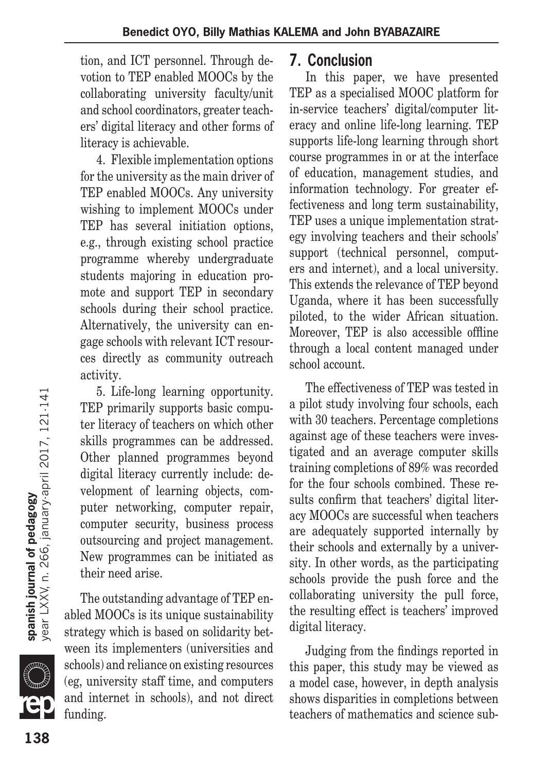tion, and ICT personnel. Through devotion to TEP enabled MOOCs by the collaborating university faculty/unit and school coordinators, greater teachers' digital literacy and other forms of literacy is achievable.

4. Flexible implementation options for the university as the main driver of TEP enabled MOOCs. Any university wishing to implement MOOCs under TEP has several initiation options, e.g., through existing school practice programme whereby undergraduate students majoring in education promote and support TEP in secondary schools during their school practice. Alternatively, the university can engage schools with relevant ICT resources directly as community outreach activity.

5. Life-long learning opportunity. TEP primarily supports basic computer literacy of teachers on which other skills programmes can be addressed. Other planned programmes beyond digital literacy currently include: development of learning objects, computer networking, computer repair, computer security, business process outsourcing and project management. New programmes can be initiated as their need arise.

The outstanding advantage of TEP enabled MOOCs is its unique sustainability strategy which is based on solidarity between its implementers (universities and schools) and reliance on existing resources (eg, university staff time, and computers and internet in schools), and not direct funding.

## **7. Conclusion**

In this paper, we have presented TEP as a specialised MOOC platform for in-service teachers' digital/computer literacy and online life-long learning. TEP supports life-long learning through short course programmes in or at the interface of education, management studies, and information technology. For greater effectiveness and long term sustainability, TEP uses a unique implementation strategy involving teachers and their schools' support (technical personnel, computers and internet), and a local university. This extends the relevance of TEP beyond Uganda, where it has been successfully piloted, to the wider African situation. Moreover, TEP is also accessible offline through a local content managed under school account.

The effectiveness of TEP was tested in a pilot study involving four schools, each with 30 teachers. Percentage completions against age of these teachers were investigated and an average computer skills training completions of 89% was recorded for the four schools combined. These results confirm that teachers' digital literacy MOOCs are successful when teachers are adequately supported internally by their schools and externally by a university. In other words, as the participating schools provide the push force and the collaborating university the pull force, the resulting effect is teachers' improved digital literacy.

Judging from the findings reported in this paper, this study may be viewed as a model case, however, in depth analysis shows disparities in completions between teachers of mathematics and science sub-

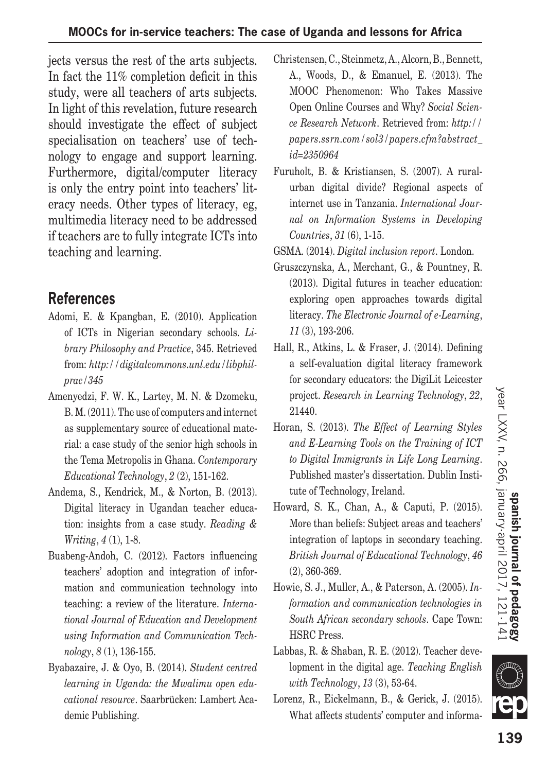jects versus the rest of the arts subjects. In fact the 11% completion deficit in this study, were all teachers of arts subjects. In light of this revelation, future research should investigate the effect of subject specialisation on teachers' use of technology to engage and support learning. Furthermore, digital/computer literacy is only the entry point into teachers' literacy needs. Other types of literacy, eg, multimedia literacy need to be addressed if teachers are to fully integrate ICTs into teaching and learning.

# **References**

- Adomi, E. & Kpangban, E. (2010). Application of ICTs in Nigerian secondary schools. *Library Philosophy and Practice*, 345. Retrieved from: *http://digitalcommons.unl.edu/libphilprac/345*
- Amenyedzi, F. W. K., Lartey, M. N. & Dzomeku, B. M. (2011). The use of computers and internet as supplementary source of educational material: a case study of the senior high schools in the Tema Metropolis in Ghana. *Contemporary Educational Technology*, *2* (2), 151-162.
- Andema, S., Kendrick, M., & Norton, B. (2013). Digital literacy in Ugandan teacher education: insights from a case study. *Reading & Writing*, *4* (1), 1-8.
- Buabeng-Andoh, C. (2012). Factors influencing teachers' adoption and integration of information and communication technology into teaching: a review of the literature. *International Journal of Education and Development using Information and Communication Technology*, *8* (1), 136-155.
- Byabazaire, J. & Oyo, B. (2014). *Student centred learning in Uganda: the Mwalimu open educational resource*. Saarbrücken: Lambert Academic Publishing.
- Christensen, C., Steinmetz, A., Alcorn, B., Bennett, A., Woods, D., & Emanuel, E. (2013). The MOOC Phenomenon: Who Takes Massive Open Online Courses and Why? *Social Science Research Network*. Retrieved from: *http:// papers.ssrn.com/sol3/papers.cfm?abstract\_ id=2350964*
- Furuholt, B. & Kristiansen, S. (2007). A ruralurban digital divide? Regional aspects of internet use in Tanzania. *International Journal on Information Systems in Developing Countries*, *31* (6), 1-15.
- GSMA. (2014). *Digital inclusion report*. London.
- Gruszczynska, A., Merchant, G., & Pountney, R. (2013). Digital futures in teacher education: exploring open approaches towards digital literacy. *The Electronic Journal of e-Learning*, *11* (3), 193-206.
- Hall, R., Atkins, L. & Fraser, J. (2014). Defining a self-evaluation digital literacy framework for secondary educators: the DigiLit Leicester project. *Research in Learning Technology*, *22*, 21440.
- Horan, S. (2013). *The Effect of Learning Styles and E-Learning Tools on the Training of ICT to Digital Immigrants in Life Long Learning*. Published master's dissertation. Dublin Institute of Technology, Ireland.
- Howard, S. K., Chan, A., & Caputi, P. (2015). More than beliefs: Subject areas and teachers' integration of laptops in secondary teaching. *British Journal of Educational Technology*, *46* (2), 360-369.
- Howie, S. J., Muller, A., & Paterson, A. (2005). *Information and communication technologies in South African secondary schools*. Cape Town: HSRC Press.
- Labbas, R. & Shaban, R. E. (2012). Teacher development in the digital age. *Teaching English with Technology*, *13* (3), 53-64.
- Lorenz, R., Eickelmann, B., & Gerick, J. (2015). What affects students' computer and informa-

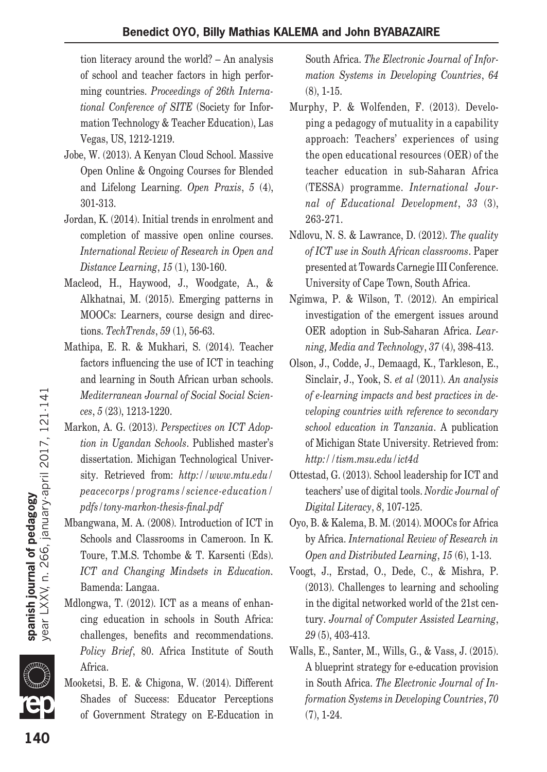tion literacy around the world? – An analysis of school and teacher factors in high performing countries. *Proceedings of 26th International Conference of SITE* (Society for Information Technology & Teacher Education), Las Vegas, US, 1212-1219.

- Jobe, W. (2013). A Kenyan Cloud School. Massive Open Online & Ongoing Courses for Blended and Lifelong Learning. *Open Praxis*, *5* (4), 301-313.
- Jordan, K. (2014). Initial trends in enrolment and completion of massive open online courses. *International Review of Research in Open and Distance Learning*, *15* (1), 130-160.
- Macleod, H., Haywood, J., Woodgate, A., & Alkhatnai, M. (2015). Emerging patterns in MOOCs: Learners, course design and directions. *TechTrends*, *59* (1), 56-63.
- Mathipa, E. R. & Mukhari, S. (2014). Teacher factors influencing the use of ICT in teaching and learning in South African urban schools. *Mediterranean Journal of Social Social Sciences*, *5* (23), 1213-1220.
- Markon, A. G. (2013). *Perspectives on ICT Adoption in Ugandan Schools*. Published master's dissertation. Michigan Technological University. Retrieved from: *http://www.mtu.edu/ peacecorps/programs/science-education/ pdfs/tony-markon-thesis-final.pdf*
- Mbangwana, M. A. (2008). Introduction of ICT in Schools and Classrooms in Cameroon. In K. Toure, T.M.S. Tchombe & T. Karsenti (Eds). *ICT and Changing Mindsets in Education.* Bamenda: Langaa.
- Mdlongwa, T. (2012). ICT as a means of enhancing education in schools in South Africa: challenges, benefits and recommendations. *Policy Brief*, 80. Africa Institute of South Africa.
- Mooketsi, B. E. & Chigona, W. (2014). Different Shades of Success: Educator Perceptions of Government Strategy on E-Education in

South Africa. *The Electronic Journal of Information Systems in Developing Countries*, *64* (8), 1-15.

- Murphy, P. & Wolfenden, F. (2013). Developing a pedagogy of mutuality in a capability approach: Teachers' experiences of using the open educational resources (OER) of the teacher education in sub-Saharan Africa (TESSA) programme. *International Journal of Educational Development*, *33* (3), 263-271.
- Ndlovu, N. S. & Lawrance, D. (2012). *The quality of ICT use in South African classrooms*. Paper presented at Towards Carnegie III Conference. University of Cape Town, South Africa.
- Ngimwa, P. & Wilson, T. (2012). An empirical investigation of the emergent issues around OER adoption in Sub-Saharan Africa. *Learning, Media and Technology*, *37* (4), 398-413.
- Olson, J., Codde, J., Demaagd, K., Tarkleson, E., Sinclair, J., Yook, S. *et al* (2011). *An analysis of e-learning impacts and best practices in developing countries with reference to secondary school education in Tanzania*. A publication of Michigan State University. Retrieved from: *http://tism.msu.edu/ict4d*
- Ottestad, G. (2013). School leadership for ICT and teachers' use of digital tools. *Nordic Journal of Digital Literacy*, *8*, 107-125.
- Oyo, B. & Kalema, B. M. (2014). MOOCs for Africa by Africa. *International Review of Research in Open and Distributed Learning*, *15* (6), 1-13.
- Voogt, J., Erstad, O., Dede, C., & Mishra, P. (2013). Challenges to learning and schooling in the digital networked world of the 21st century. *Journal of Computer Assisted Learning*, *29* (5), 403-413.
- Walls, E., Santer, M., Wills, G., & Vass, J. (2015). A blueprint strategy for e-education provision in South Africa. *The Electronic Journal of Information Systems in Developing Countries*, *70* (7), 1-24.